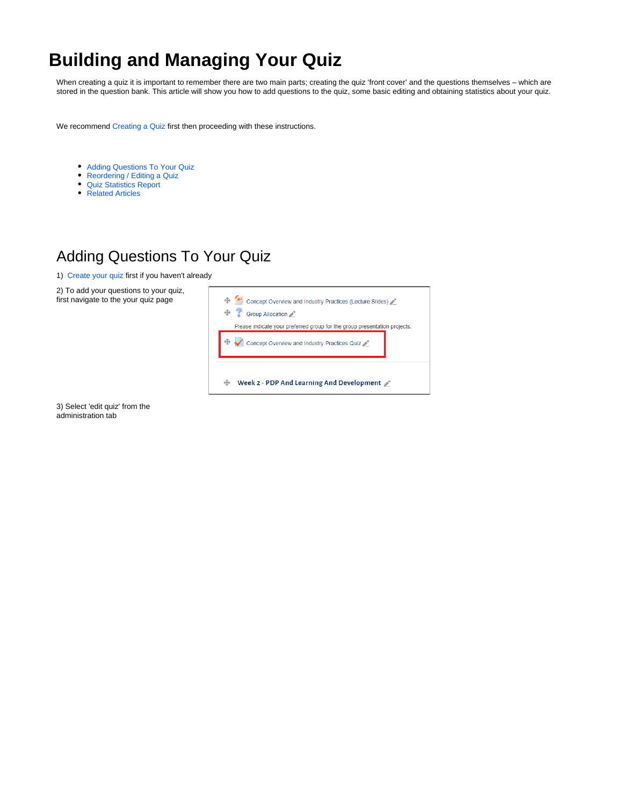# <span id="page-0-1"></span>**Building and Managing Your Quiz**

When creating a quiz it is important to remember there are two main parts; creating the quiz 'front cover' and the questions themselves – which are stored in the question bank. This article will show you how to add questions to the quiz, some basic editing and obtaining statistics about your quiz.

We recommend [Creating a Quiz](https://wiki.lte.strath.ac.uk/display/MS/Creating+a+Quiz) first then proceeding with these instructions.

- [Adding Questions To Your Quiz](#page-0-0)
- [Reordering / Editing a Quiz](#page-3-0)
- [Quiz Statistics Report](#page-3-1)
- [Related Articles](#page-4-0)

#### <span id="page-0-0"></span>Adding Questions To Your Quiz

1) [Create your quiz](https://wiki.lte.strath.ac.uk/display/MS/Creating+a+Quiz) first if you haven't already

2) To add your questions to your quiz, first navigate to the your quiz page



3) Select 'edit quiz' from the administration tab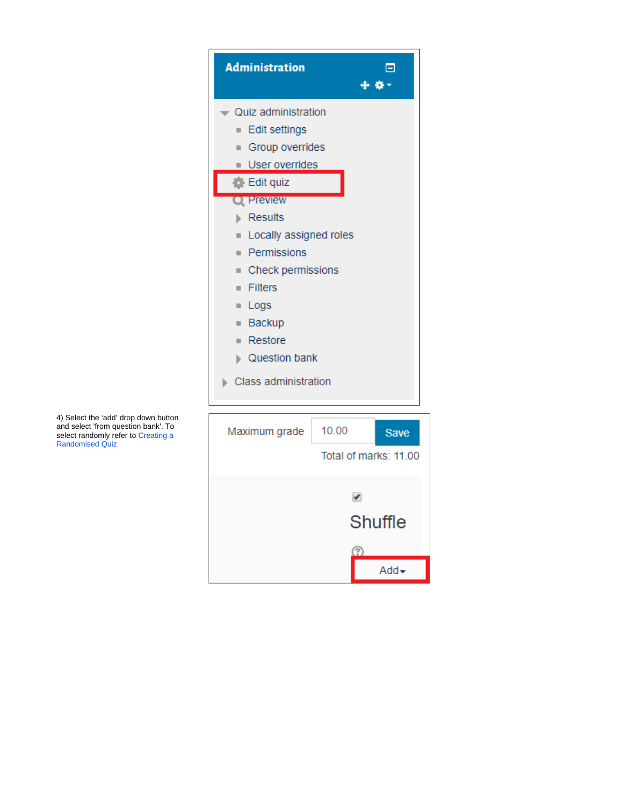

᠓

 $Add \rightarrow$ 

4) Select the 'add' drop down button and select 'from question bank'. To select randomly refer to [Creating a](https://wiki.lte.strath.ac.uk/display/MS/Creating+a+Randomised+Quiz)  [Randomised Quiz](https://wiki.lte.strath.ac.uk/display/MS/Creating+a+Randomised+Quiz)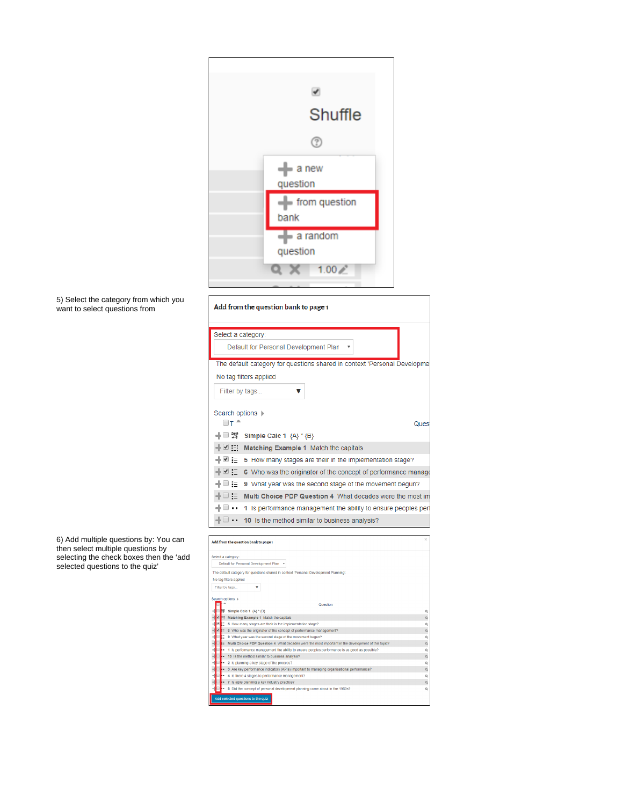



| 6) Add multiple questions by: You can   |
|-----------------------------------------|
| then select multiple questions by       |
| selecting the check boxes then the 'add |
| selected questions to the quiz'         |

| Add from the question bank to page 1                                     |
|--------------------------------------------------------------------------|
| Select a category:                                                       |
| Default for Personal Development Plan                                    |
| The default category for questions shared in context 'Personal Developme |
| No tag filters applied                                                   |
| Filter by tags                                                           |
| Search options $\blacktriangleright$                                     |
| ⊟⊤ ≏<br>Ques                                                             |
| ᆃ □ 33<br>Simple Calc 1 ${A}^*(B)$                                       |
| 라ビ⊞<br>Matching Example 1 Match the capitals                             |
| ⊣ ⊻ :∃<br>5 How many stages are their in the implementation stage?       |
| ⊣⊵ ⊻<br>6 Who was the originator of the concept of performance manage    |
| ⊟ :=<br>9 What year was the second stage of the movement begun?          |
| ∃ :∃<br>Multi Choice PDP Question 4 What decades were the most im        |
| 1 Is performance management the ability to ensure peoples per            |
| 10 Is the method similar to business analysis?                           |

| Add from the question bank to page 1                                                               | ×        |
|----------------------------------------------------------------------------------------------------|----------|
| Select a category:                                                                                 |          |
| Default for Personal Development Plan                                                              |          |
| The default category for questions shared in context 'Personal Development Planning'.              |          |
| No tag filters applied                                                                             |          |
| Filter by tags<br>v                                                                                |          |
|                                                                                                    |          |
| Search options +                                                                                   |          |
| Question<br>Simple Calc 1 {A} * {B}                                                                | a        |
| Matching Example 1 Match the capitals                                                              | $\alpha$ |
| 5 How many stages are their in the implementation stage?                                           | $\alpha$ |
| 6 Who was the originator of the concept of performance management?                                 | $\alpha$ |
| 9 What year was the second stage of the movement begun?                                            | Q        |
| Multi Choice PDP Question 4 What decades were the most important in the development of this topic? | $\alpha$ |
| 1 Is performance management the ability to ensure peoples performance is as good as possible?      | Q        |
| 10 Is the method similar to business analysis?                                                     | $\alpha$ |
| 2 Is planning a key stage of the process?                                                          | Q        |
| 3 Are key performance indicators (KPIs) important to managing organisational performance?          | $\alpha$ |
| 4 Is there 4 stages to performance management?                                                     | Q        |
| 7 Is agile planning a key industry practice?                                                       | $\alpha$ |
| Did the concept of personal development planning come about in the 1960s?<br>8                     | Q        |
| Add selected questions to the quiz                                                                 |          |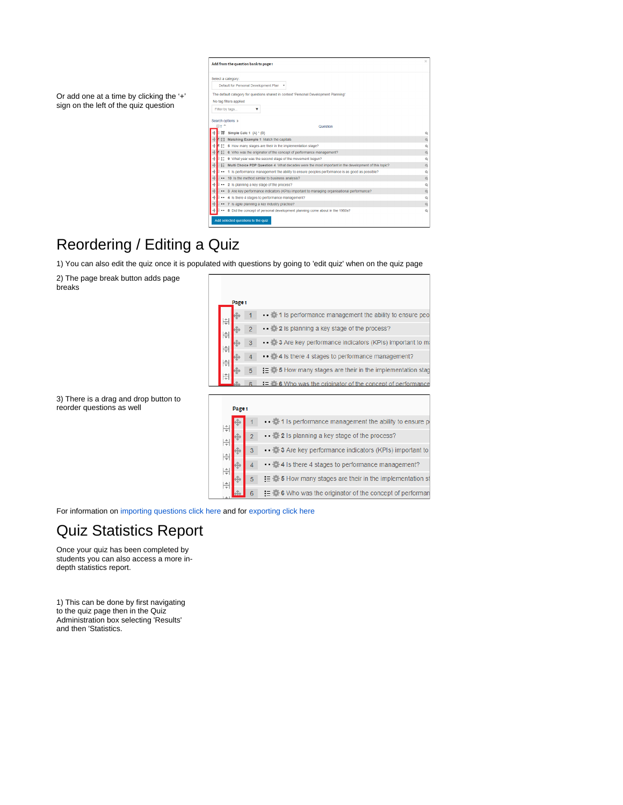| Select a category:      |                                                                                                    |                    |
|-------------------------|----------------------------------------------------------------------------------------------------|--------------------|
|                         | Default for Personal Development Plan                                                              |                    |
|                         | The default category for questions shared in context 'Personal Development Planning'.              |                    |
|                         | No tag filters applied                                                                             |                    |
| Filter by tags          | v                                                                                                  |                    |
|                         |                                                                                                    |                    |
| Search options  ><br>⊟⊤ |                                                                                                    |                    |
|                         | Question                                                                                           | $^{\circ}$         |
| Ħ.                      | Simple Calc 1 {A} * {B}<br>Matching Example 1 Match the capitals                                   |                    |
| 4<br>$\mathbf{H}$       | 5 How many stages are their in the implementation stage?                                           | $\circ$<br>$\circ$ |
| 這                       | 6 Who was the originator of the concept of performance management?                                 | $\circ$            |
| 4<br>$:=$               | 9 What year was the second stage of the movement begun?                                            | $\circ$            |
| ÷<br>扫                  | Multi Choice PDP Question 4 What decades were the most important in the development of this topic? | $\circ$            |
| ÷<br>                   | 1 Is performance management the ability to ensure peoples performance is as good as possible?      | $\circ$            |
|                         | 10 Is the method similar to business analysis?                                                     | $\circ$            |
| ÷<br>                   | 2 Is planning a key stage of the process?                                                          | $\circ$            |
| ÷                       | 3 Are key performance indicators (KPIs) important to managing organisational performance?          | $\circ$            |
| ÷                       | . 4 Is there 4 stages to performance management?                                                   | $\circ$            |
| 4                       | 7 Is agile planning a key industry practice?                                                       | $\circ$            |
|                         | 8 Did the concept of personal development planning come about in the 1960s?                        | $\circ$            |

### <span id="page-3-0"></span>Reordering / Editing a Quiz

1) You can also edit the quiz once it is populated with questions by going to 'edit quiz' when on the quiz page

2) The page break button adds page breaks

Or add one at a time by clicking the '+' sign on the left of the quiz question

| Page 1 |                |                                                                           |
|--------|----------------|---------------------------------------------------------------------------|
|        |                |                                                                           |
|        |                | 1 Is performance management the ability to ensure peo-                    |
|        | $\overline{2}$ | • • $\bullet$ 2 Is planning a key stage of the process?                   |
|        | 3              | • 3 Are key performance indicators (KPIs) important to m                  |
|        |                | • 4 Is there 4 stages to performance management?                          |
|        | 5              | $\equiv$ $\bullet$ 5 How many stages are their in the implementation stag |
|        |                | Who was the originator of the concept of performance                      |

3) There is a drag and drop button to reorder questions as well

|               | Page 1 |                |                                                              |
|---------------|--------|----------------|--------------------------------------------------------------|
|               |        |                | • • 1 Is performance management the ability to ensure        |
|               |        | $\overline{2}$ | • • <b>2</b> Is planning a key stage of the process?         |
| 佳             |        | 3              | • 3 Are key performance indicators (KPIs) important to       |
| $\frac{+}{+}$ |        |                | • • <b>4</b> Is there 4 stages to performance management?    |
| 佳             |        | 5              | $\equiv$ 5 How many stages are their in the implementation : |
|               |        |                | 6 Who was the originator of the concept of performa          |

For information on [importing questions click here](https://docs.moodle.org/37/en/Import_questions) and for [exporting click here](https://docs.moodle.org/37/en/Export_questions)

#### <span id="page-3-1"></span>Quiz Statistics Report

Once your quiz has been completed by students you can also access a more indepth statistics report.

1) This can be done by first navigating to the quiz page then in the Quiz Administration box selecting 'Results' and then 'Statistics.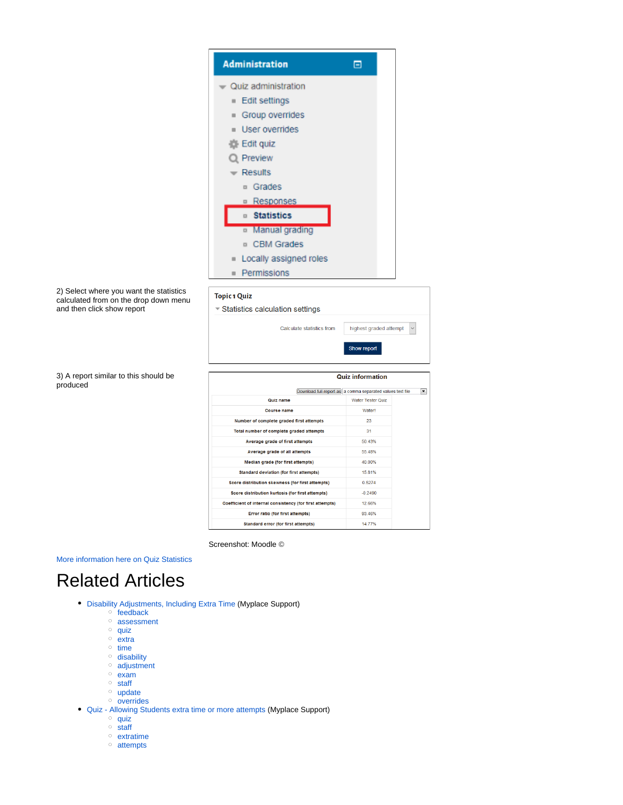|                                                                     | <b>Administration</b>                                                                        | Θ                                  |
|---------------------------------------------------------------------|----------------------------------------------------------------------------------------------|------------------------------------|
|                                                                     | Quiz administration                                                                          |                                    |
|                                                                     | ■ Edit settings                                                                              |                                    |
|                                                                     | Group overrides                                                                              |                                    |
|                                                                     | User overrides                                                                               |                                    |
|                                                                     | Edit quiz                                                                                    |                                    |
|                                                                     | Preview                                                                                      |                                    |
|                                                                     | <b>Results</b>                                                                               |                                    |
|                                                                     | <sup>n</sup> Grades                                                                          |                                    |
|                                                                     |                                                                                              |                                    |
|                                                                     | <b>Responses</b>                                                                             |                                    |
|                                                                     | □ Statistics                                                                                 |                                    |
|                                                                     | <sup>o</sup> Manual grading                                                                  |                                    |
|                                                                     | <b>D</b> CBM Grades                                                                          |                                    |
|                                                                     | Locally assigned roles                                                                       |                                    |
|                                                                     | Permissions<br>$\blacksquare$                                                                |                                    |
| calculated from on the drop down menu<br>and then click show report | ▼ Statistics calculation settings<br>Calculate statistics from                               | highest graded attempt             |
|                                                                     |                                                                                              | Show report                        |
| 3) A report similar to this should be                               |                                                                                              | <b>Quiz information</b>            |
| produced                                                            | Download full report as a comma separated values text file                                   |                                    |
|                                                                     | <b>Quiz name</b><br><b>Course name</b>                                                       | <b>Water Tester Quiz</b><br>Water! |
|                                                                     | Number of complete graded first attempts                                                     | 23                                 |
|                                                                     | Total number of complete graded attempts                                                     | 31                                 |
|                                                                     | Average grade of first attempts                                                              | 50.43%                             |
|                                                                     | Average grade of all attempts                                                                | 55.48%                             |
|                                                                     | Median grade (for first attempts)<br><b>Standard deviation (for first attempts)</b>          | 40.00%<br>15.81%                   |
|                                                                     | Score distribution skewness (for first attempts)                                             | 0.5274                             |
|                                                                     | Score distribution kurtosis (for first attempts)                                             | $-0.2490$                          |
|                                                                     | Coefficient of internal consistency (for first attempts)<br>Error ratio (for first attempts) | 12.66%<br>93.46%                   |

Screenshot: Moodle ©

[More information here on Quiz Statistics](https://docs.moodle.org/37/en/Quiz_statistics_report#Overall_quiz_statistics)

## <span id="page-4-0"></span>Related Articles

- [Disability Adjustments, Including Extra Time](https://wiki.lte.strath.ac.uk/display/MS/Disability+Adjustments%2C+Including+Extra+Time) (Myplace Support)
	- [feedback](https://wiki.lte.strath.ac.uk/label/feedback)
	- <sup>o</sup> [assessment](https://wiki.lte.strath.ac.uk/label/assessment)
	- [quiz](https://wiki.lte.strath.ac.uk/label/quiz)
	- [extra](https://wiki.lte.strath.ac.uk/label/extra)
	- $\circ$  [time](https://wiki.lte.strath.ac.uk/label/time)
	- <sup>o</sup> [disability](https://wiki.lte.strath.ac.uk/label/disability)
	- [adjustment](https://wiki.lte.strath.ac.uk/label/adjustment)
	- [exam](https://wiki.lte.strath.ac.uk/label/exam)
	- $\circ$  [staff](https://wiki.lte.strath.ac.uk/label/staff)
	- <sup>o</sup> [update](https://wiki.lte.strath.ac.uk/label/update)
	- $\circ$  [overrides](https://wiki.lte.strath.ac.uk/label/overrides)
- [Quiz Allowing Students extra time or more attempts](https://wiki.lte.strath.ac.uk/display/MS/Quiz+-+Allowing+Students+extra+time+or+more+attempts) (Myplace Support)
	- $^{\circ}$  [quiz](https://wiki.lte.strath.ac.uk/label/quiz)
	- $\circ$  [staff](https://wiki.lte.strath.ac.uk/label/staff)
	- [extratime](https://wiki.lte.strath.ac.uk/label/extratime)
	- [attempts](https://wiki.lte.strath.ac.uk/label/attempts)